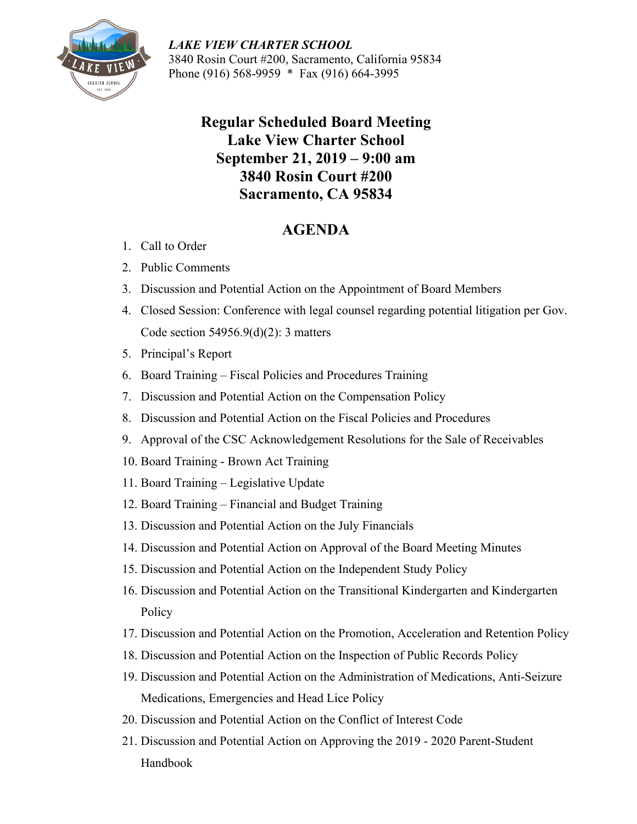

*LAKE VIEW CHARTER SCHOOL* 3840 Rosin Court #200, Sacramento, California 95834 Phone (916) 568-9959 \* Fax (916) 664-3995

## **Regular Scheduled Board Meeting Lake View Charter School September 21, 2019 – 9:00 am 3840 Rosin Court #200 Sacramento, CA 95834**

## **AGENDA**

- 1. Call to Order
- 2. Public Comments
- 3. Discussion and Potential Action on the Appointment of Board Members
- 4. Closed Session: Conference with legal counsel regarding potential litigation per Gov. Code section 54956.9(d)(2): 3 matters
- 5. Principal's Report
- 6. Board Training Fiscal Policies and Procedures Training
- 7. Discussion and Potential Action on the Compensation Policy
- 8. Discussion and Potential Action on the Fiscal Policies and Procedures
- 9. Approval of the CSC Acknowledgement Resolutions for the Sale of Receivables
- 10. Board Training Brown Act Training
- 11. Board Training Legislative Update
- 12. Board Training Financial and Budget Training
- 13. Discussion and Potential Action on the July Financials
- 14. Discussion and Potential Action on Approval of the Board Meeting Minutes
- 15. Discussion and Potential Action on the Independent Study Policy
- 16. Discussion and Potential Action on the Transitional Kindergarten and Kindergarten Policy
- 17. Discussion and Potential Action on the Promotion, Acceleration and Retention Policy
- 18. Discussion and Potential Action on the Inspection of Public Records Policy
- 19. Discussion and Potential Action on the Administration of Medications, Anti-Seizure Medications, Emergencies and Head Lice Policy
- 20. Discussion and Potential Action on the Conflict of Interest Code
- 21. Discussion and Potential Action on Approving the 2019 2020 Parent-Student Handbook